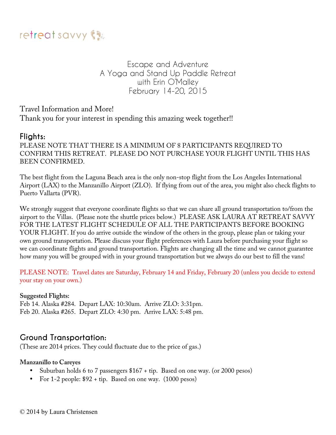

Escape and Adventure A Yoga and Stand Up Paddle Retreat with Erin O'Malley February 14-20, 2015

Travel Information and More! Thank you for your interest in spending this amazing week together!!

# **Flights:**

PLEASE NOTE THAT THERE IS A MINIMUM OF 8 PARTICIPANTS REQUIRED TO CONFIRM THIS RETREAT. PLEASE DO NOT PURCHASE YOUR FLIGHT UNTIL THIS HAS BEEN CONFIRMED.

The best flight from the Laguna Beach area is the only non-stop flight from the Los Angeles International Airport (LAX) to the Manzanillo Airport (ZLO). If flying from out of the area, you might also check flights to Puerto Vallarta (PVR).

We strongly suggest that everyone coordinate flights so that we can share all ground transportation to/from the airport to the Villas. (Please note the shuttle prices below.) PLEASE ASK LAURA AT RETREAT SAVVY FOR THE LATEST FLIGHT SCHEDULE OF ALL THE PARTICIPANTS BEFORE BOOKING YOUR FLIGHT. If you do arrive outside the window of the others in the group, please plan or taking your own ground transportation. Please discuss your flight preferences with Laura before purchasing your flight so we can coordinate flights and ground transportation. Flights are changing all the time and we cannot guarantee how many you will be grouped with in your ground transportation but we always do our best to fill the vans!

PLEASE NOTE: Travel dates are Saturday, February 14 and Friday, February 20 (unless you decide to extend your stay on your own.)

#### **Suggested Flights:**

Feb 14. Alaska #284. Depart LAX: 10:30am. Arrive ZLO: 3:31pm. Feb 20. Alaska #265. Depart ZLO: 4:30 pm. Arrive LAX: 5:48 pm.

# **Ground Transportation:**

(These are 2014 prices. They could fluctuate due to the price of gas.)

#### **Manzanillo to Careyes**

- Suburban holds 6 to 7 passengers \$167 + tip. Based on one way. (or 2000 pesos)
- For 1-2 people: \$92 + tip. Based on one way. (1000 pesos)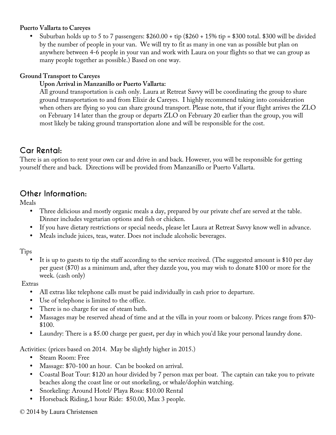### **Puerto Vallarta to Careyes**

Suburban holds up to 5 to 7 passengers:  $$260.00 + tip$  ( $$260 + 15\% tip = $300$  total. \$300 will be divided by the number of people in your van. We will try to fit as many in one van as possible but plan on anywhere between 4-6 people in your van and work with Laura on your flights so that we can group as many people together as possible.) Based on one way.

### **Ground Transport to Careyes**

### **Upon Arrival in Manzanillo or Puerto Vallarta:**

All ground transportation is cash only. Laura at Retreat Savvy will be coordinating the group to share ground transportation to and from Elixir de Careyes. I highly recommend taking into consideration when others are flying so you can share ground transport. Please note, that if your flight arrives the ZLO on February 14 later than the group or departs ZLO on February 20 earlier than the group, you will most likely be taking ground transportation alone and will be responsible for the cost.

# **Car Rental:**

There is an option to rent your own car and drive in and back. However, you will be responsible for getting yourself there and back. Directions will be provided from Manzanillo or Puerto Vallarta.

# **Other Information:**

Meals

- Three delicious and mostly organic meals a day, prepared by our private chef are served at the table. Dinner includes vegetarian options and fish or chicken.
- If you have dietary restrictions or special needs, please let Laura at Retreat Savvy know well in advance.
- Meals include juices, teas, water. Does not include alcoholic beverages.

Tips

It is up to guests to tip the staff according to the service received. (The suggested amount is \$10 per day per guest (\$70) as a minimum and, after they dazzle you, you may wish to donate \$100 or more for the week. (cash only)

### Extras

- All extras like telephone calls must be paid individually in cash prior to departure.
- Use of telephone is limited to the office.
- There is no charge for use of steam bath.
- Massages may be reserved ahead of time and at the villa in your room or balcony. Prices range from \$70- \$100.
- Laundry: There is a \$5.00 charge per guest, per day in which you'd like your personal laundry done.

Activities: (prices based on 2014. May be slightly higher in 2015.)

- Steam Room: Free
- Massage: \$70-100 an hour. Can be booked on arrival.
- Coastal Boat Tour: \$120 an hour divided by 7 person max per boat. The captain can take you to private beaches along the coast line or out snorkeling, or whale/dophin watching.
- Snorkeling: Around Hotel/ Playa Rosa: \$10.00 Rental
- Horseback Riding,1 hour Ride: \$50.00, Max 3 people.

### © 2014 by Laura Christensen